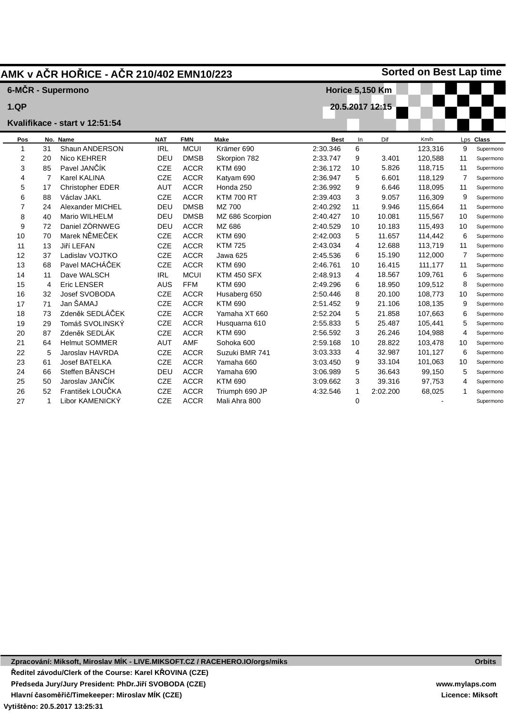|                |                | AMK v AČR HOŘICE - AČR 210/402 EMN10/223 |            |             |                    |             |          |                        | <b>Sorted on Best Lap time</b> |                |           |
|----------------|----------------|------------------------------------------|------------|-------------|--------------------|-------------|----------|------------------------|--------------------------------|----------------|-----------|
|                |                | 6-MČR - Supermono                        |            |             |                    |             |          | <b>Horice 5,150 Km</b> |                                |                |           |
| 1.QP           |                |                                          |            |             |                    |             |          | 20.5.2017 12:15        |                                |                |           |
|                |                |                                          |            |             |                    |             |          |                        |                                |                |           |
|                |                | Kvalifikace - start v 12:51:54           |            |             |                    |             |          |                        |                                |                |           |
| Pos            |                | No. Name                                 | <b>NAT</b> | <b>FMN</b>  | Make               | <b>Best</b> | In       | Dif                    | Km/h                           |                | Lps Class |
| 1              | 31             | Shaun ANDERSON                           | <b>IRL</b> | <b>MCUI</b> | Krämer 690         | 2:30.346    | 6        |                        | 123,316                        | 9              | Supermond |
| 2              | 20             | Nico KEHRER                              | DEU        | <b>DMSB</b> | Skorpion 782       | 2:33.747    | 9        | 3.401                  | 120,588                        | 11             | Supermond |
| 3              | 85             | Pavel JANČÍK                             | <b>CZE</b> | <b>ACCR</b> | <b>KTM 690</b>     | 2:36.172    | 10       | 5.826                  | 118,715                        | 11             | Supermond |
| 4              | $\overline{7}$ | <b>Karel KALINA</b>                      | <b>CZE</b> | <b>ACCR</b> | Katyam 690         | 2:36.947    | 5        | 6.601                  | 118,129                        | $\overline{7}$ | Supermond |
| 5              | 17             | Christopher EDER                         | <b>AUT</b> | <b>ACCR</b> | Honda 250          | 2:36.992    | 9        | 6.646                  | 118,095                        | 11             | Supermond |
| 6              | 88             | Václav JAKL                              | <b>CZE</b> | <b>ACCR</b> | <b>KTM 700 RT</b>  | 2:39.403    | 3        | 9.057                  | 116,309                        | 9              | Supermond |
| $\overline{7}$ | 24             | Alexander MICHEL                         | DEU        | <b>DMSB</b> | MZ 700             | 2:40.292    | 11       | 9.946                  | 115,664                        | 11             | Supermond |
| 8              | 40             | Mario WILHELM                            | DEU        | <b>DMSB</b> | MZ 686 Scorpion    | 2:40.427    | 10       | 10.081                 | 115,567                        | 10             | Supermond |
| 9              | 72             | Daniel ZÖRNWEG                           | DEU        | <b>ACCR</b> | MZ 686             | 2:40.529    | 10       | 10.183                 | 115,493                        | 10             | Supermond |
| 10             | 70             | Marek NĚMEČEK                            | <b>CZE</b> | <b>ACCR</b> | <b>KTM 690</b>     | 2:42.003    | 5        | 11.657                 | 114,442                        | 6              | Supermond |
| 11             | 13             | Jiří LEFAN                               | <b>CZE</b> | <b>ACCR</b> | <b>KTM 725</b>     | 2:43.034    | 4        | 12.688                 | 113,719                        | 11             | Supermond |
| 12             | 37             | Ladislav VOJTKO                          | <b>CZE</b> | <b>ACCR</b> | Jawa 625           | 2:45.536    | 6        | 15.190                 | 112,000                        | $\overline{7}$ | Supermond |
| 13             | 68             | Pavel MACHÁČEK                           | <b>CZE</b> | <b>ACCR</b> | <b>KTM 690</b>     | 2:46.761    | 10       | 16.415                 | 111,177                        | 11             | Supermond |
| 14             | 11             | Dave WALSCH                              | <b>IRL</b> | <b>MCUI</b> | <b>KTM 450 SFX</b> | 2:48.913    | 4        | 18.567                 | 109,761                        | 6              | Supermond |
| 15             | 4              | <b>Eric LENSER</b>                       | <b>AUS</b> | <b>FFM</b>  | <b>KTM 690</b>     | 2:49.296    | 6        | 18.950                 | 109,512                        | 8              | Supermond |
| 16             | 32             | Josef SVOBODA                            | <b>CZE</b> | <b>ACCR</b> | Husaberg 650       | 2:50.446    | 8        | 20.100                 | 108,773                        | 10             | Supermond |
| 17             | 71             | Jan ŠAMAJ                                | <b>CZE</b> | <b>ACCR</b> | <b>KTM 690</b>     | 2:51.452    | 9        | 21.106                 | 108,135                        | 9              | Supermond |
| 18             | 73             | Zdeněk SEDLÁČEK                          | <b>CZE</b> | <b>ACCR</b> | Yamaha XT 660      | 2:52.204    | 5        | 21.858                 | 107,663                        | 6              | Supermond |
| 19             | 29             | Tomáš SVOLINSKÝ                          | <b>CZE</b> | <b>ACCR</b> | Husquarna 610      | 2:55.833    | 5        | 25.487                 | 105,441                        | 5              | Supermond |
| 20             | 87             | Zdeněk SEDLÁK                            | <b>CZE</b> | <b>ACCR</b> | <b>KTM 690</b>     | 2:56.592    | 3        | 26.246                 | 104,988                        | $\overline{4}$ | Supermond |
| 21             | 64             | <b>Helmut SOMMER</b>                     | <b>AUT</b> | AMF         | Sohoka 600         | 2:59.168    | 10       | 28.822                 | 103,478                        | 10             | Supermond |
| 22             | 5              | Jaroslav HAVRDA                          | <b>CZE</b> | <b>ACCR</b> | Suzuki BMR 741     | 3:03.333    | 4        | 32.987                 | 101,127                        | 6              | Supermond |
| 23             | 61             | Josef BATELKA                            | <b>CZE</b> | <b>ACCR</b> | Yamaha 660         | 3:03.450    | 9        | 33.104                 | 101,063                        | 10             | Supermond |
| 24             | 66             | Steffen BÄNSCH                           | DEU        | <b>ACCR</b> | Yamaha 690         | 3:06.989    | 5        | 36.643                 | 99,150                         | 5              | Supermond |
| 25             | 50             | Jaroslav JANČÍK                          | <b>CZE</b> | <b>ACCR</b> | <b>KTM 690</b>     | 3:09.662    | 3        | 39.316                 | 97,753                         | 4              | Supermond |
| 26             | 52             | František LOUČKA                         | <b>CZE</b> | <b>ACCR</b> | Triumph 690 JP     | 4:32.546    | 1        | 2:02.200               | 68,025                         |                | Supermond |
| 27             | 1              | Libor KAMENICKÝ                          | <b>CZE</b> | <b>ACCR</b> | Mali Ahra 800      |             | $\Omega$ |                        |                                |                | Supermond |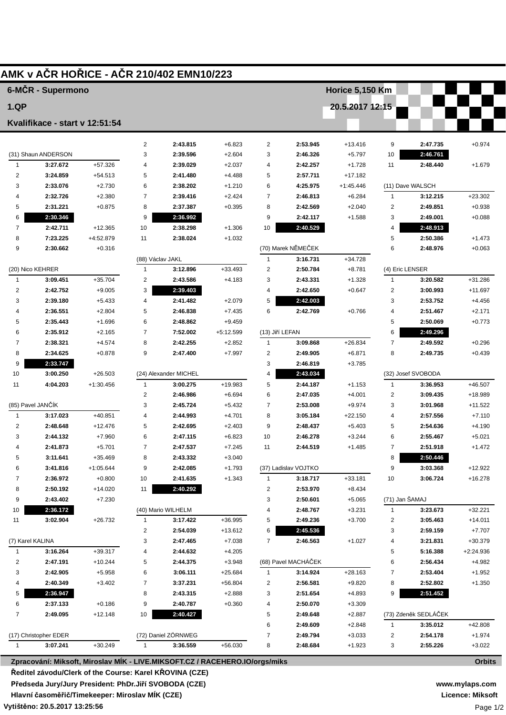|                  |                                 |             |                                         | AMK v AČR HOŘICE - AČR 210/402 EMN10/223                                    |                      |                         |                      |                        |                 |                                  |                    |
|------------------|---------------------------------|-------------|-----------------------------------------|-----------------------------------------------------------------------------|----------------------|-------------------------|----------------------|------------------------|-----------------|----------------------------------|--------------------|
|                  | 6-MČR - Supermono               |             |                                         |                                                                             |                      |                         |                      | <b>Horice 5,150 Km</b> |                 |                                  |                    |
| <b>1.QP</b>      |                                 |             |                                         |                                                                             |                      |                         |                      | 20.5.2017 12:15        |                 |                                  |                    |
|                  | Kvalifikace - start v 12:51:54  |             |                                         |                                                                             |                      |                         |                      |                        |                 |                                  |                    |
|                  |                                 |             |                                         |                                                                             |                      |                         |                      |                        |                 |                                  |                    |
|                  |                                 |             | $\overline{2}$<br>3                     | 2:43.815                                                                    | $+6.823$             | 2<br>3                  | 2:53.945             | $+13.416$              | 9               | 2:47.735<br>2:46.761             | $+0.974$           |
| $\mathbf{1}$     | (31) Shaun ANDERSON<br>3:27.672 | +57.326     | 4                                       | 2:39.596<br>2:39.029                                                        | $+2.604$<br>$+2.037$ | 4                       | 2:46.326<br>2:42.257 | $+5.797$<br>$+1.728$   | 10<br>11        | 2:48.440                         | $+1.679$           |
| $\overline{2}$   | 3:24.859                        | $+54.513$   | 5                                       | 2:41.480                                                                    | $+4.488$             | 5                       | 2:57.711             | $+17.182$              |                 |                                  |                    |
| 3                | 2:33.076                        | $+2.730$    | 6                                       | 2:38.202                                                                    | $+1.210$             | 6                       | 4:25.975             | $+1:45.446$            |                 | (11) Dave WALSCH                 |                    |
| $\overline{4}$   | 2:32.726                        | $+2.380$    | $\overline{7}$                          | 2:39.416                                                                    | $+2.424$             | $\overline{7}$          | 2:46.813             | $+6.284$               | $\mathbf{1}$    | 3:12.215                         | $+23.302$          |
| 5                | 2:31.221                        | $+0.875$    | 8                                       | 2:37.387                                                                    | $+0.395$             | 8                       | 2:42.569             | $+2.040$               | 2               | 2:49.851                         | $+0.938$           |
| 6                | 2:30.346                        |             | 9                                       | 2:36.992                                                                    |                      | 9                       | 2:42.117             | $+1.588$               | 3               | 2:49.001                         | $+0.088$           |
| $\overline{7}$   | 2:42.711                        | $+12.365$   | 10                                      | 2:38.298                                                                    | $+1.306$             | 10                      | 2:40.529             |                        | 4               | 2:48.913                         |                    |
| 8                | 7:23.225                        | +4:52.879   | 11                                      | 2:38.024                                                                    | $+1.032$             |                         |                      |                        | 5               | 2:50.386                         | $+1.473$           |
| 9                | 2:30.662                        | $+0.316$    |                                         |                                                                             |                      |                         | (70) Marek NĚMEČEK   |                        | 6               | 2:48.976                         | $+0.063$           |
|                  |                                 |             |                                         | (88) Václav JAKL                                                            |                      | $\mathbf{1}$            | 3:16.731             | $+34.728$              |                 |                                  |                    |
|                  | (20) Nico KEHRER                |             | $\mathbf{1}$                            | 3:12.896                                                                    | $+33.493$            | 2                       | 2:50.784             | $+8.781$               | (4) Eric LENSER |                                  |                    |
| $\mathbf{1}$     | 3:09.451                        | $+35.704$   | $\overline{\mathbf{c}}$                 | 2:43.586                                                                    | $+4.183$             | 3                       | 2:43.331             | $+1.328$               | $\mathbf{1}$    | 3:20.582                         | $+31.286$          |
| $\overline{c}$   | 2:42.752                        | $+9.005$    | 3                                       | 2:39.403                                                                    |                      | $\overline{4}$          | 2:42.650             | $+0.647$               | 2               | 3:00.993                         | $+11.697$          |
| 3                | 2:39.180                        | $+5.433$    | 4                                       | 2:41.482                                                                    | $+2.079$             | 5                       | 2:42.003             |                        | 3               | 2:53.752                         | $+4.456$           |
| 4                | 2:36.551                        | $+2.804$    | 5                                       | 2:46.838                                                                    | $+7.435$             | 6                       | 2:42.769             | $+0.766$               | 4               | 2:51.467                         | $+2.171$           |
| 5                | 2:35.443                        | $+1.696$    | 6                                       | 2:48.862                                                                    | $+9.459$             |                         |                      |                        | 5               | 2:50.069                         | $+0.773$           |
| 6                | 2:35.912                        | $+2.165$    | $\overline{7}$                          | 7:52.002                                                                    | +5:12.599            | (13) Jiří LEFAN         |                      |                        | 6               | 2:49.296                         |                    |
| 7                | 2:38.321                        | $+4.574$    | 8                                       | 2:42.255                                                                    | $+2.852$             | $\mathbf{1}$            | 3:09.868             | $+26.834$              | $\overline{7}$  | 2:49.592                         | $+0.296$           |
| 8                | 2:34.625                        | $+0.878$    | 9                                       | 2:47.400                                                                    | $+7.997$             | $\overline{2}$          | 2:49.905             | $+6.871$               | 8               | 2:49.735                         | $+0.439$           |
| 9                | 2:33.747                        |             |                                         |                                                                             |                      | 3<br>4                  | 2:46.819             | $+3.785$               |                 |                                  |                    |
| 10               | 3:00.250                        | $+26.503$   |                                         | (24) Alexander MICHEL                                                       |                      |                         | 2:43.034             |                        |                 | (32) Josef SVOBODA               |                    |
| 11               | 4:04.203                        | $+1:30.456$ | $\mathbf{1}$<br>$\overline{\mathbf{c}}$ | 3:00.275<br>2:46.986                                                        | +19.983<br>$+6.694$  | 5<br>6                  | 2:44.187<br>2:47.035 | $+1.153$<br>$+4.001$   | 1<br>2          | 3:36.953<br>3:09.435             | +46.507<br>+18.989 |
|                  | (85) Pavel JANČÍK               |             | 3                                       | 2:45.724                                                                    | $+5.432$             | $\overline{7}$          | 2:53.008             | $+9.974$               | 3               | 3:01.968                         | $+11.522$          |
| $\mathbf{1}$     | 3:17.023                        | $+40.851$   | 4                                       | 2:44.993                                                                    | $+4.701$             | 8                       | 3:05.184             | $+22.150$              | 4               | 2:57.556                         | $+7.110$           |
| $\overline{2}$   | 2:48.648                        | $+12.476$   | 5                                       | 2:42.695                                                                    | $+2.403$             | 9                       | 2:48.437             | $+5.403$               | 5               | 2:54.636                         | $+4.190$           |
| 3                | 2:44.132                        | $+7.960$    | 6                                       | 2:47.115                                                                    | $+6.823$             | 10                      | 2:46.278             | $+3.244$               | 6               | 2:55.467                         | $+5.021$           |
| 4                | 2:41.873                        | +5.701      | 7                                       | 2:47.537                                                                    | +7.245               | 11                      | 2:44.519             | +1.485                 | 7               | 2:51.918                         | +1.472             |
| 5                | 3:11.641                        | +35.469     | 8                                       | 2:43.332                                                                    | $+3.040$             |                         |                      |                        | 8               | 2:50.446                         |                    |
| 6                | 3:41.816                        | $+1:05.644$ | 9                                       | 2:42.085                                                                    | $+1.793$             |                         | (37) Ladislav VOJTKO |                        | 9               | 3:03.368                         | +12.922            |
| 7                | 2:36.972                        | $+0.800$    | 10                                      | 2:41.635                                                                    | $+1.343$             | $\mathbf{1}$            | 3:18.717             | $+33.181$              | 10              | 3:06.724                         | $+16.278$          |
| 8                | 2:50.192                        | $+14.020$   | 11                                      | 2:40.292                                                                    |                      | 2                       | 2:53.970             | $+8.434$               |                 |                                  |                    |
| 9                | 2:43.402                        | $+7.230$    |                                         |                                                                             |                      | 3                       | 2:50.601             | $+5.065$               | (71) Jan ŠAMAJ  |                                  |                    |
| 10               | 2:36.172                        |             |                                         | (40) Mario WILHELM                                                          |                      | 4                       | 2:48.767             | $+3.231$               | $\mathbf{1}$    | 3:23.673                         | $+32.221$          |
| 11               | 3:02.904                        | +26.732     | $\mathbf{1}$                            | 3:17.422                                                                    | +36.995              | 5                       | 2:49.236             | $+3.700$               | 2               | 3:05.463                         | $+14.011$          |
|                  |                                 |             | 2                                       | 2:54.039                                                                    | +13.612              | 6                       | 2:45.536             |                        | 3               | 2:59.159                         | $+7.707$           |
| (7) Karel KALINA |                                 |             | 3                                       | 2:47.465                                                                    | $+7.038$             | $\overline{7}$          | 2:46.563             | $+1.027$               | 4               | 3:21.831                         | $+30.379$          |
| 1                | 3:16.264                        | $+39.317$   | 4                                       | 2:44.632                                                                    | $+4.205$             |                         |                      |                        | 5               | 5:16.388                         | +2:24.936          |
| 2                | 2:47.191                        | $+10.244$   | 5                                       | 2:44.375                                                                    | $+3.948$             |                         | (68) Pavel MACHÁČEK  |                        | 6               | 2:56.434                         | +4.982             |
| 3                | 2:42.905                        | $+5.958$    | 6                                       | 3:06.111                                                                    | $+25.684$            | $\mathbf{1}$            | 3:14.924             | +28.163                | 7               | 2:53.404                         | $+1.952$           |
| 4                | 2:40.349                        | +3.402      | $\overline{7}$                          | 3:37.231                                                                    | +56.804              | $\overline{\mathbf{c}}$ | 2:56.581             | $+9.820$               | 8               | 2:52.802                         | $+1.350$           |
| 5                | 2:36.947                        |             | 8                                       | 2:43.315                                                                    | $+2.888$             | 3                       | 2:51.654             | $+4.893$               | 9               | 2:51.452                         |                    |
| 6                | 2:37.133                        | $+0.186$    | 9                                       | 2:40.787                                                                    | $+0.360$             | 4                       | 2:50.070             | $+3.309$               |                 |                                  |                    |
| $\overline{7}$   | 2:49.095                        | $+12.148$   | 10                                      | 2:40.427                                                                    |                      | 5<br>6                  | 2:49.648<br>2:49.609 | $+2.887$<br>$+2.848$   | $\mathbf{1}$    | (73) Zdeněk SEDLÁČEK<br>3:35.012 | +42.808            |
|                  | (17) Christopher EDER           |             |                                         | (72) Daniel ZÖRNWEG                                                         |                      | $\overline{7}$          | 2:49.794             | $+3.033$               | 2               | 2:54.178                         | $+1.974$           |
| 1                | 3:07.241                        | $+30.249$   | $\mathbf{1}$                            | 3:36.559                                                                    | +56.030              | 8                       | 2:48.684             | $+1.923$               | 3               | 2:55.226                         | $+3.022$           |
|                  |                                 |             |                                         |                                                                             |                      |                         |                      |                        |                 |                                  |                    |
|                  |                                 |             |                                         | Zpracování: Miksoft, Miroslav MÍK - LIVE.MIKSOFT.CZ / RACEHERO.IO/orgs/miks |                      |                         |                      |                        |                 |                                  | <b>Orbits</b>      |

Zpracování: Miksoft, Miroslav MÍK - LIVE.MIKSOFT.CZ / RACEHERO.IO/orgs/miks

Ředitel závodu/Clerk of the Course: Karel KŘOVINA (CZE)

Předseda Jury/Jury President: PhDr.Jiří SVOBODA (CZE)

Hlavní časoměřič/Timekeeper: Miroslav MÍK (CZE)

Vytištěno: 20.5.2017 13:25:56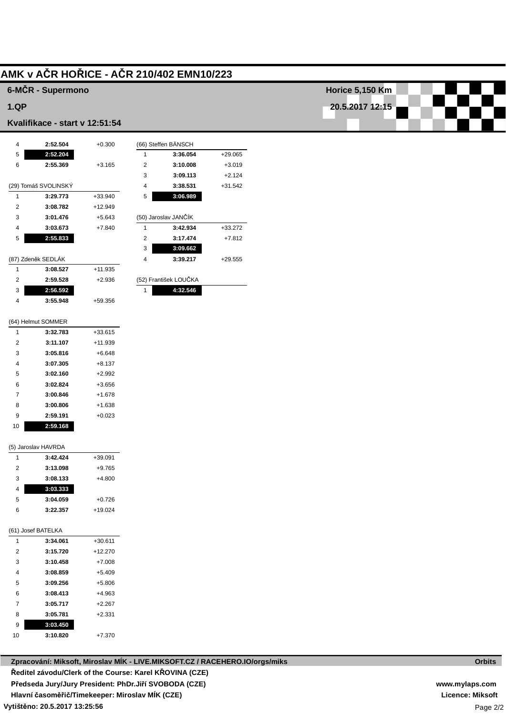# **AMK v AČR HOŘICE - AČR 210/402 EMN10/223**

### **6-MČR - Supermono**

#### **1.QP**

#### **Kvalifikace - start v 12:51:54**

| 4              | 2:52.504             | $+0.300$  |                | (66) Steffen BÄNSCH   |           |
|----------------|----------------------|-----------|----------------|-----------------------|-----------|
| 5              | 2:52.204             |           | 1              | 3:36.054              | $+29.065$ |
| 6              | 2:55.369             | $+3.165$  | $\overline{2}$ | 3:10.008              | $+3.019$  |
|                |                      |           | 3              | 3:09.113              | $+2.124$  |
|                | (29) Tomáš SVOLINSKÝ |           | $\overline{4}$ | 3:38.531              | $+31.542$ |
| 1              | 3:29.773             | +33.940   | 5              | 3:06.989              |           |
| $\overline{2}$ | 3:08.782             | $+12.949$ |                |                       |           |
| 3              | 3:01.476             | $+5.643$  |                | (50) Jaroslav JANČÍK  |           |
| 4              | 3:03.673             | $+7.840$  | 1              | 3:42.934              | $+33.272$ |
| 5              | 2:55.833             |           | 2              | 3:17.474              | $+7.812$  |
|                |                      |           | 3              | 3:09.662              |           |
|                | (87) Zdeněk SEDLÁK   |           | 4              | 3:39.217              | $+29.555$ |
| 1              | 3:08.527             | $+11.935$ |                |                       |           |
| 2              | 2:59.528             | $+2.936$  |                | (52) František LOUČKA |           |

| 2 | 2:59.528 | $+2.936$ |
|---|----------|----------|
| 3 | 2:56.592 |          |
| Δ | 3:55.948 | +59.356  |

|                | (64) Helmut SOMMER |           |
|----------------|--------------------|-----------|
| 1              | 3:32.783           | $+33.615$ |
| 2              | 3:11.107           | $+11.939$ |
| 3              | 3:05.816           | $+6.648$  |
| 4              | 3:07.305           | $+8.137$  |
| 5              | 3:02.160           | $+2.992$  |
| 6              | 3:02.824           | $+3.656$  |
| $\overline{7}$ | 3:00.846           | $+1.678$  |
| 8              | 3:00.806           | $+1.638$  |
| 9              | 2:59.191           | $+0.023$  |
| 10             | 2:59.168           |           |

|  | (5) Jaroslav HAVRDA |
|--|---------------------|

| 1 | 3:42.424 | $+39.091$ |
|---|----------|-----------|
| 2 | 3:13.098 | $+9.765$  |
| 3 | 3:08.133 | $+4.800$  |
| 4 | 3:03.333 |           |
| 5 | 3:04.059 | $+0.726$  |
| 6 | 3:22.357 | $+19.024$ |
|   |          |           |

#### (61) Josef BATELKA

| 1              | 3:34.061 | $+30.611$ |
|----------------|----------|-----------|
| $\mathfrak{p}$ | 3:15.720 | $+12.270$ |
| 3              | 3:10.458 | $+7.008$  |
| 4              | 3:08.859 | $+5.409$  |
| 5              | 3:09.256 | $+5.806$  |
| 6              | 3:08.413 | $+4.963$  |
| $\overline{7}$ | 3:05.717 | $+2.267$  |
| 8              | 3:05.781 | $+2.331$  |
| 9              | 3:03.450 |           |
| 10             | 3:10.820 | $+7.370$  |

| <b>Horice 5,150 Km</b> |  |  |  |  |  |
|------------------------|--|--|--|--|--|
|                        |  |  |  |  |  |
| 20.5.2017 12:15        |  |  |  |  |  |

| (52) František LOUČKA |  |
|-----------------------|--|
| 4:32.546              |  |
|                       |  |

**Orbits**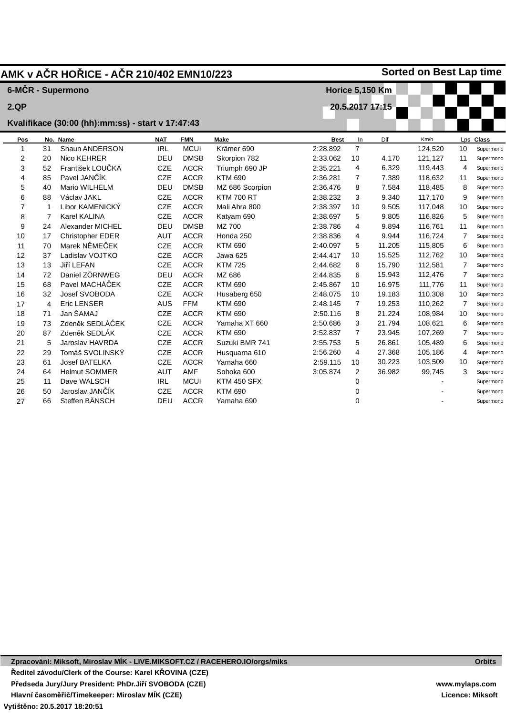|                |                      | <b>NAT</b>                    | <b>FMN</b>  | <b>Make</b>                                       | <b>Best</b>                              | In             | Dif    | Km/h                                      |                | Lps Class                      |
|----------------|----------------------|-------------------------------|-------------|---------------------------------------------------|------------------------------------------|----------------|--------|-------------------------------------------|----------------|--------------------------------|
| 31             | Shaun ANDERSON       | <b>IRL</b>                    | <b>MCUI</b> | Krämer 690                                        | 2:28.892                                 | $\overline{7}$ |        | 124,520                                   | 10             | Supermond                      |
| 20             | Nico KEHRER          | DEU                           | <b>DMSB</b> | Skorpion 782                                      | 2:33.062                                 | 10             | 4.170  | 121,127                                   | 11             | Supermond                      |
| 52             | František LOUČKA     | <b>CZE</b>                    | <b>ACCR</b> | Triumph 690 JP                                    | 2:35.221                                 | 4              | 6.329  | 119,443                                   | 4              | Supermond                      |
| 85             | Pavel JANČÍK         | <b>CZE</b>                    | <b>ACCR</b> | <b>KTM 690</b>                                    | 2:36.281                                 | $\overline{7}$ | 7.389  | 118,632                                   | 11             | Supermond                      |
| 40             | <b>Mario WILHELM</b> | DEU                           | <b>DMSB</b> | MZ 686 Scorpion                                   | 2:36.476                                 | 8              | 7.584  | 118,485                                   | 8              | Supermond                      |
| 88             | Václav JAKL          | <b>CZE</b>                    | <b>ACCR</b> | <b>KTM 700 RT</b>                                 | 2:38.232                                 | 3              | 9.340  | 117,170                                   | 9              | Supermond                      |
| 1              | Libor KAMENICKY      | <b>CZE</b>                    | <b>ACCR</b> | Mali Ahra 800                                     | 2:38.397                                 | 10             | 9.505  | 117,048                                   | 10             | Supermond                      |
| $\overline{7}$ | Karel KALINA         | <b>CZE</b>                    | <b>ACCR</b> | Katyam 690                                        | 2:38.697                                 | 5              | 9.805  | 116,826                                   | 5              | Supermond                      |
| 24             | Alexander MICHEL     | DEU                           | <b>DMSB</b> | MZ 700                                            | 2:38.786                                 | 4              | 9.894  | 116,761                                   | 11             | Supermond                      |
| 17             | Christopher EDER     | <b>AUT</b>                    | <b>ACCR</b> | Honda 250                                         | 2:38.836                                 | 4              | 9.944  | 116.724                                   | $\overline{7}$ | Supermond                      |
| 70             | Marek NĚMEČEK        | <b>CZE</b>                    | <b>ACCR</b> | <b>KTM 690</b>                                    | 2:40.097                                 | 5              | 11.205 | 115,805                                   | 6              | Supermond                      |
| 37             | Ladislav VOJTKO      | <b>CZE</b>                    | <b>ACCR</b> | Jawa 625                                          | 2:44.417                                 | 10             | 15.525 | 112,762                                   | 10             | Supermond                      |
| 13             | Jiří LEFAN           | <b>CZE</b>                    | <b>ACCR</b> | <b>KTM 725</b>                                    | 2:44.682                                 | 6              | 15.790 | 112,581                                   | $\overline{7}$ | Supermond                      |
| 72             | Daniel ZÖRNWEG       | DEU                           | <b>ACCR</b> | MZ 686                                            | 2:44.835                                 | 6              | 15.943 | 112,476                                   | 7              | Supermond                      |
| 68             | Pavel MACHÁČEK       | CZE                           | <b>ACCR</b> | <b>KTM 690</b>                                    | 2:45.867                                 | 10             | 16.975 | 111,776                                   | 11             | Supermond                      |
| 32             | Josef SVOBODA        | <b>CZE</b>                    | <b>ACCR</b> | Husaberg 650                                      | 2:48.075                                 | 10             | 19.183 | 110,308                                   | 10             | Supermond                      |
| 4              | <b>Eric LENSER</b>   | <b>AUS</b>                    | <b>FFM</b>  | <b>KTM 690</b>                                    | 2:48.145                                 | $\overline{7}$ | 19.253 | 110,262                                   | 7              | Supermond                      |
| 71             | Jan ŠAMAJ            | <b>CZE</b>                    | <b>ACCR</b> | <b>KTM 690</b>                                    | 2:50.116                                 | 8              | 21.224 | 108,984                                   | 10             | Supermond                      |
| 73             | Zdeněk SEDLÁČEK      | <b>CZE</b>                    | <b>ACCR</b> | Yamaha XT 660                                     | 2:50.686                                 | 3              | 21.794 | 108,621                                   | 6              | Supermond                      |
| 87             | Zdeněk SEDLÁK        | <b>CZE</b>                    | <b>ACCR</b> | <b>KTM 690</b>                                    | 2:52.837                                 | $\overline{7}$ | 23.945 | 107,269                                   | $\overline{7}$ | Supermond                      |
| 5              | Jaroslav HAVRDA      | <b>CZE</b>                    | <b>ACCR</b> | Suzuki BMR 741                                    | 2:55.753                                 | 5              | 26.861 | 105,489                                   | 6              | Supermond                      |
| 29             | Tomáš SVOLINSKÝ      | <b>CZE</b>                    | <b>ACCR</b> | Husquarna 610                                     | 2:56.260                                 | 4              | 27.368 | 105,186                                   | 4              | Supermond                      |
| 61             | Josef BATELKA        | <b>CZE</b>                    | <b>ACCR</b> | Yamaha 660                                        | 2:59.115                                 | 10             | 30.223 | 103,509                                   | 10             | Supermond                      |
| 64             | <b>Helmut SOMMER</b> | <b>AUT</b>                    | <b>AMF</b>  | Sohoka 600                                        | 3:05.874                                 | $\overline{2}$ | 36.982 | 99,745                                    | 3              | Supermond                      |
| 11             | Dave WALSCH          | <b>IRL</b>                    | <b>MCUI</b> | <b>KTM 450 SFX</b>                                |                                          | 0              |        |                                           |                | Supermond                      |
| 50             | Jaroslav JANČÍK      | <b>CZE</b>                    | <b>ACCR</b> | <b>KTM 690</b>                                    |                                          | 0              |        |                                           |                | Supermond                      |
| 66             | Steffen BÄNSCH       | DEU                           | <b>ACCR</b> | Yamaha 690                                        |                                          | 0              |        |                                           |                | Supermond                      |
|                |                      | 6-MČR - Supermono<br>No. Name |             | Kvalifikace (30:00 (hh):mm:ss) - start v 17:47:43 | AMK v AČR HOŘICE - AČR 210/402 EMN10/223 |                |        | <b>Horice 5,150 Km</b><br>20.5.2017 17:15 |                | <b>Sorted on Best Lap time</b> |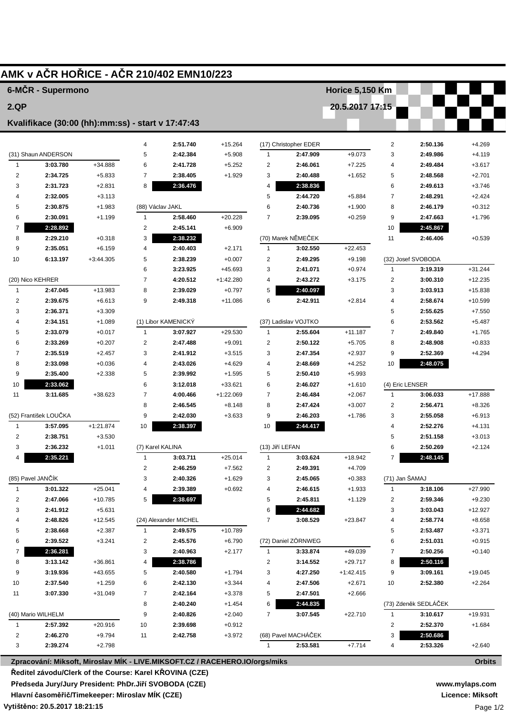|                         | 6-MČR - Supermono                                 |                      |                         |                       |           |                         |                       | <b>Horice 5,150 Km</b> |                 |                      |                      |
|-------------------------|---------------------------------------------------|----------------------|-------------------------|-----------------------|-----------|-------------------------|-----------------------|------------------------|-----------------|----------------------|----------------------|
| 2.QP                    |                                                   |                      |                         |                       |           |                         |                       | 20.5.2017 17:15        |                 |                      |                      |
|                         |                                                   |                      |                         |                       |           |                         |                       |                        |                 |                      |                      |
|                         | Kvalifikace (30:00 (hh):mm:ss) - start v 17:47:43 |                      |                         |                       |           |                         |                       |                        |                 |                      |                      |
|                         |                                                   |                      | 4                       | 2:51.740              | $+15.264$ |                         | (17) Christopher EDER |                        | $\overline{c}$  | 2:50.136             | $+4.269$             |
|                         | (31) Shaun ANDERSON                               |                      | 5                       | 2:42.384              | $+5.908$  | $\mathbf{1}$            | 2:47.909              | $+9.073$               | 3               | 2:49.986             | $+4.119$             |
| 1                       | 3:03.780                                          | +34.888              | 6                       | 2:41.728              | $+5.252$  | $\overline{2}$          | 2:46.061              | $+7.225$               | 4               | 2:49.484             | $+3.617$             |
| $\overline{\mathbf{c}}$ | 2:34.725                                          | $+5.833$             | $\overline{7}$          | 2:38.405              | $+1.929$  | 3                       | 2:40.488              | $+1.652$               | 5               | 2:48.568             | $+2.701$             |
| 3                       | 2:31.723                                          | $+2.831$             | 8                       | 2:36.476              |           | $\overline{4}$          | 2:38.836              |                        | 6               | 2:49.613             | $+3.746$             |
| 4                       | 2:32.005                                          | $+3.113$             |                         |                       |           | 5                       | 2:44.720              | $+5.884$               | $\overline{7}$  | 2:48.291             | $+2.424$             |
| 5                       | 2:30.875                                          | $+1.983$             |                         | (88) Václav JAKL      |           | 6                       | 2:40.736              | $+1.900$               | 8               | 2:46.179             | $+0.312$             |
| 6                       | 2:30.091                                          | $+1.199$             | $\mathbf{1}$            | 2:58.460              | $+20.228$ | $\overline{7}$          | 2:39.095              | $+0.259$               | 9               | 2:47.663             | $+1.796$             |
| 7                       | 2:28.892                                          |                      | 2                       | 2:45.141              | $+6.909$  |                         |                       |                        | 10              | 2:45.867             |                      |
| 8                       | 2:29.210                                          | $+0.318$             | 3                       | 2:38.232              |           |                         | (70) Marek NĚMEČEK    |                        | 11              | 2:46.406             | $+0.539$             |
| 9                       | 2:35.051                                          | $+6.159$             | 4                       | 2:40.403              | $+2.171$  | $\mathbf{1}$            | 3:02.550              | $+22.453$              |                 |                      |                      |
| 10                      | 6:13.197                                          | $+3:44.305$          | 5                       | 2:38.239              | $+0.007$  | $\overline{2}$          | 2:49.295              | $+9.198$               |                 | (32) Josef SVOBODA   |                      |
|                         |                                                   |                      | 6                       | 3:23.925              | +45.693   | 3                       | 2:41.071              | $+0.974$               | $\mathbf{1}$    | 3:19.319             | $+31.244$            |
|                         | (20) Nico KEHRER                                  |                      | $\overline{7}$          | 4:20.512              | +1:42.280 | 4                       | 2:43.272              | $+3.175$               | 2               | 3:00.310             | $+12.235$            |
| 1                       | 2:47.045                                          | +13.983              | 8                       | 2:39.029              | $+0.797$  | 5                       | 2:40.097              |                        | 3               | 3:03.913             | +15.838              |
| $\overline{c}$          | 2:39.675                                          | $+6.613$             | 9                       | 2:49.318              | $+11.086$ | 6                       | 2:42.911              | $+2.814$               | 4               | 2:58.674             | $+10.599$            |
| 3<br>4                  | 2:36.371<br>2:34.151                              | $+3.309$<br>$+1.089$ |                         | (1) Libor KAMENICKY   |           |                         | (37) Ladislav VOJTKO  |                        | 5<br>6          | 2:55.625<br>2:53.562 | $+7.550$<br>$+5.487$ |
| 5                       | 2:33.079                                          | $+0.017$             | $\mathbf{1}$            | 3:07.927              | $+29.530$ | $\mathbf{1}$            | 2:55.604              | $+11.187$              | 7               | 2:49.840             | $+1.765$             |
| 6                       | 2:33.269                                          | $+0.207$             | $\overline{c}$          | 2:47.488              | $+9.091$  | $\overline{2}$          | 2:50.122              | $+5.705$               | 8               | 2:48.908             | $+0.833$             |
| $\overline{7}$          | 2:35.519                                          | $+2.457$             | 3                       | 2:41.912              | $+3.515$  | 3                       | 2:47.354              | $+2.937$               | 9               | 2:52.369             | $+4.294$             |
| 8                       | 2:33.098                                          | $+0.036$             | $\overline{4}$          | 2:43.026              | $+4.629$  | $\overline{4}$          | 2:48.669              | $+4.252$               | 10              | 2:48.075             |                      |
| 9                       | 2:35.400                                          | $+2.338$             | 5                       | 2:39.992              | $+1.595$  | 5                       | 2:50.410              | $+5.993$               |                 |                      |                      |
| 10                      | 2:33.062                                          |                      | 6                       | 3:12.018              | +33.621   | 6                       | 2:46.027              | $+1.610$               | (4) Eric LENSER |                      |                      |
| 11                      | 3:11.685                                          | $+38.623$            | $\overline{7}$          | 4:00.466              | +1:22.069 | 7                       | 2:46.484              | $+2.067$               | $\mathbf{1}$    | 3:06.033             | +17.888              |
|                         |                                                   |                      | 8                       | 2:46.545              | $+8.148$  | 8                       | 2:47.424              | $+3.007$               | 2               | 2:56.471             | $+8.326$             |
|                         | (52) František LOUČKA                             |                      | 9                       | 2:42.030              | $+3.633$  | 9                       | 2:46.203              | $+1.786$               | 3               | 2:55.058             | $+6.913$             |
| $\mathbf{1}$            | 3:57.095                                          | $+1:21.874$          | 10                      | 2:38.397              |           | 10                      | 2:44.417              |                        | 4               | 2:52.276             | $+4.131$             |
| 2                       | 2:38.751                                          | $+3.530$             |                         |                       |           |                         |                       |                        | 5               | 2:51.158             | $+3.013$             |
| 3                       | 2:36.232                                          | $+1.011$             |                         | (7) Karel KALINA      |           | (13) Jiří LEFAN         |                       |                        | 6               | 2:50.269             | $+2.124$             |
| 4                       | 2:35.221                                          |                      | $\mathbf{1}$            | 3:03.711              | $+25.014$ | $\mathbf{1}$            | 3:03.624              | +18.942                | 7               | 2:48.145             |                      |
|                         |                                                   |                      | $\overline{\mathbf{c}}$ | 2:46.259              | $+7.562$  | 2                       | 2:49.391              | $+4.709$               |                 |                      |                      |
|                         | (85) Pavel JANČÍK                                 |                      | 3                       | 2:40.326              | $+1.629$  | 3                       | 2:45.065              | $+0.383$               | (71) Jan ŠAMAJ  |                      |                      |
| 1                       | 3:01.322                                          | $+25.041$            | 4                       | 2:39.389              | $+0.692$  | 4                       | 2:46.615              | $+1.933$               | $\mathbf{1}$    | 3:18.106             | $+27.990$            |
| 2                       | 2:47.066                                          | $+10.785$            | 5                       | 2:38.697              |           | 5                       | 2:45.811              | $+1.129$               | 2               | 2:59.346             | $+9.230$             |
| 3                       | 2:41.912                                          | $+5.631$             |                         |                       |           | 6                       | 2:44.682              |                        | 3               | 3:03.043             | $+12.927$            |
| 4                       | 2:48.826                                          | $+12.545$            |                         | (24) Alexander MICHEL |           | $\overline{7}$          | 3:08.529              | +23.847                | 4               | 2:58.774             | $+8.658$             |
| 5                       | 2:38.668                                          | $+2.387$             | 1                       | 2:49.575              | +10.789   |                         |                       |                        | 5               | 2:53.487             | $+3.371$             |
| 6                       | 2:39.522                                          | $+3.241$             | $\overline{\mathbf{c}}$ | 2:45.576              | $+6.790$  |                         | (72) Daniel ZÖRNWEG   |                        | 6               | 2:51.031             | $+0.915$             |
| 7                       | 2:36.281                                          |                      | 3                       | 2:40.963              | $+2.177$  | 1                       | 3:33.874              | +49.039                | $\overline{7}$  | 2:50.256             | $+0.140$             |
| 8                       | 3:13.142                                          | $+36.861$            | 4                       | 2:38.786              |           | $\overline{\mathbf{c}}$ | 3:14.552              | $+29.717$              | 8               | 2:50.116             |                      |
| 9                       | 3:19.936                                          | +43.655              | 5                       | 2:40.580              | $+1.794$  | 3                       | 4:27.250              | +1:42.415              | 9               | 3:09.161             | $+19.045$            |
| 10                      | 2:37.540                                          | $+1.259$             | 6                       | 2:42.130              | $+3.344$  | 4                       | 2:47.506              | $+2.671$               | 10              | 2:52.380             | $+2.264$             |
| 11                      | 3:07.330                                          | $+31.049$            | 7                       | 2:42.164              | $+3.378$  | 5                       | 2:47.501              | +2.666                 |                 |                      |                      |
|                         |                                                   |                      | 8                       | 2:40.240              | $+1.454$  | 6                       | 2:44.835              |                        |                 | (73) Zdeněk SEDLÁČEK |                      |
|                         | (40) Mario WILHELM                                |                      | 9                       | 2:40.826              | $+2.040$  | $\overline{7}$          | 3:07.545              | $+22.710$              | $\mathbf{1}$    | 3:10.617             | +19.931              |
| 1                       | 2:57.392                                          | $+20.916$            | 10                      | 2:39.698              | $+0.912$  |                         |                       |                        | $\overline{2}$  | 2:52.370             | $+1.684$             |
| 2                       | 2:46.270                                          | $+9.794$             | 11                      | 2:42.758              | $+3.972$  |                         | (68) Pavel MACHÁČEK   |                        | 3               | 2:50.686             |                      |
| 3                       | 2:39.274                                          | $+2.798$             |                         |                       |           | $\mathbf{1}$            | 2:53.581              | +7.714                 | 4               | 2:53.326             | $+2.640$             |
|                         |                                                   |                      |                         |                       |           |                         |                       |                        |                 |                      |                      |

Předseda Jury/Jury President: PhDr.Jiří SVOBODA (CZE)

Hlavní časoměřič/Timekeeper: Miroslav MÍK (CZE)

Vytištěno: 20.5.2017 18:21:15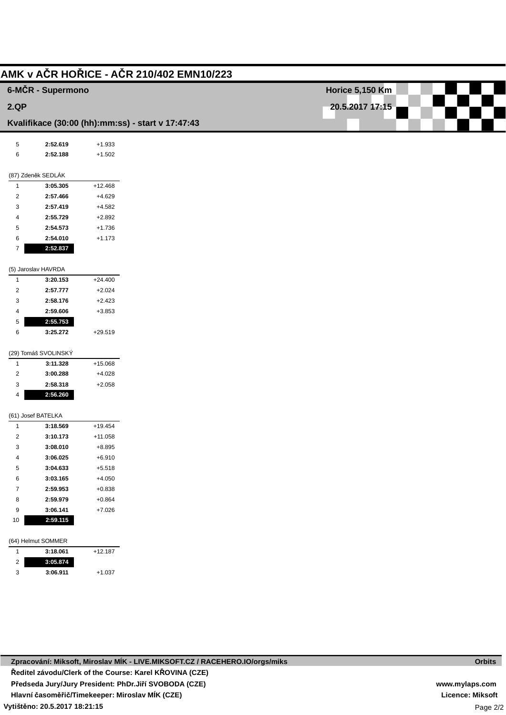|                              | 6-MČR - Supermono                                 |                      |
|------------------------------|---------------------------------------------------|----------------------|
| 2.QP                         |                                                   |                      |
|                              | Kvalifikace (30:00 (hh):mm:ss) - start v 17:47:43 |                      |
|                              |                                                   |                      |
| $\,$ 5 $\,$                  | 2:52.619                                          | $+1.933$             |
| 6                            | 2:52.188                                          | $+1.502$             |
|                              | (87) Zdeněk SEDLÁK                                |                      |
| $\mathbf{1}$                 | 3:05.305                                          | $+12.468$            |
| $\overline{2}$               | 2:57.466                                          | $+4.629$             |
| 3                            | 2:57.419                                          | $+4.582$             |
| 4                            | 2:55.729                                          | $+2.892$             |
| 5                            | 2:54.573                                          | $+1.736$             |
| 6                            | 2:54.010                                          | $+1.173$             |
| $\overline{7}$               | 2:52.837                                          |                      |
|                              | (5) Jaroslav HAVRDA                               |                      |
| $\mathbf{1}$                 | 3:20.153                                          | $+24.400$            |
| $\overline{2}$               | 2:57.777                                          | $+2.024$             |
| 3                            | 2:58.176                                          | $+2.423$             |
| 4                            | 2:59.606                                          | $+3.853$             |
| 5                            | 2:55.753                                          |                      |
| 6                            | 3:25.272                                          | $+29.519$            |
|                              | (29) Tomáš SVOLINSKÝ                              |                      |
| $\mathbf{1}$                 | 3:11.328                                          | $+15.068$            |
| $\overline{c}$               | 3:00.288                                          | $+4.028$             |
| 3                            | 2:58.318                                          | $+2.058$             |
| 4                            | 2:56.260                                          |                      |
|                              | (61) Josef BATELKA                                |                      |
| $\mathbf{1}$                 | 3:18.569                                          | $+19.454$            |
| $\overline{2}$               | 3:10.173                                          | $+11.058$            |
| 3                            | 3:08.010                                          | $+8.895$             |
| 4                            | 3:06.025                                          | $+6.910$             |
| 5                            | 3:04.633                                          | $+5.518$             |
| 6                            | 3:03.165                                          | $+4.050$<br>$+0.838$ |
| $\overline{7}$<br>8          | 2:59.953<br>2:59.979                              | $+0.864$             |
| 9                            | 3:06.141                                          | $+7.026$             |
| $10$                         | 2:59.115                                          |                      |
|                              |                                                   |                      |
|                              | (64) Helmut SOMMER                                |                      |
| $\mathbf{1}$                 | 3:18.061                                          | $+12.187$            |
| $\overline{\mathbf{c}}$<br>3 | 3:05.874<br>3:06.911                              | $+1.037$             |
|                              |                                                   |                      |

**Licence: Miksoft**

**Orbits**

Page 2/2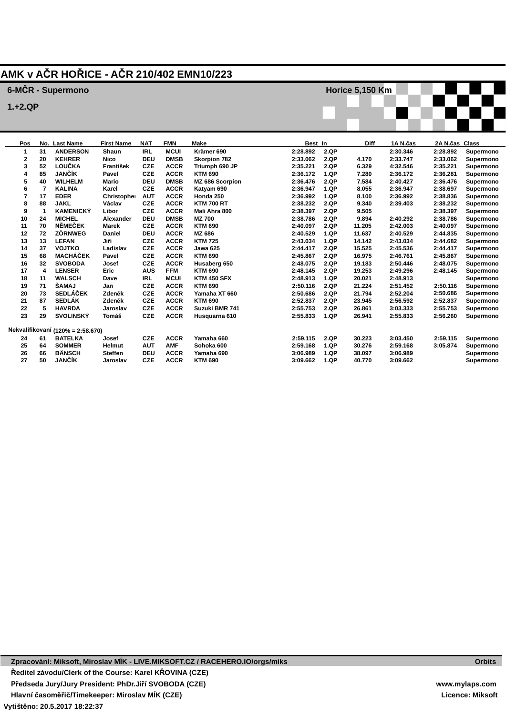## **AMK v AČR HOŘICE - AČR 210/402 EMN10/223**

### **6-MČR - Supermono**

**Last Name ANDERSON KEHRER LOUČKA JANČÍK WILHELM KALINA**

**JANČÍK**

**1.+2.QP**

**First Name Shaun Nico František Pavel Mario Karel NAT IRL DEU CZE CZE DEU CZE FMN MCUI DMSB ACCR ACCR DMSB ACCR Make Krämer 690 Skorpion 782 Triumph 690 JP KTM 690 MZ 686 Scorpion Katyam 690 Best In 2:28.892 2:33.062 2:35.221 2:36.172 2:36.476 2:36.947 2.QP 2.QP 2.QP 1.QP 2.QP 1.QP Diff 4.170 6.329 7.280 7.584 8.055 1A N.čas 2:30.346 2:33.747 4:32.546 2:36.172 2:40.427 2:36.947 2A N.čas 2:28.892 2:33.062 2:35.221 2:36.281 2:36.476 2:38.697 Class Supermono Supermono Supermono Supermono Supermono Supermono Horice 5,150 Km**

|    | 17 | <b>EDER</b>                       | Christopher    | <b>AUT</b> | <b>ACCR</b> | Honda 250          | 2:36.992 | 1.QP | 8.100  | 2:36.992 | 2:38.836 | Supermono |
|----|----|-----------------------------------|----------------|------------|-------------|--------------------|----------|------|--------|----------|----------|-----------|
| 8  | 88 | <b>JAKL</b>                       | Václav         | <b>CZE</b> | <b>ACCR</b> | <b>KTM 700 RT</b>  | 2:38.232 | 2.QP | 9.340  | 2:39.403 | 2:38.232 | Supermono |
| 9  |    | <b>KAMENICKÝ</b>                  | Libor          | <b>CZE</b> | <b>ACCR</b> | Mali Ahra 800      | 2:38.397 | 2.QP | 9.505  |          | 2:38.397 | Supermono |
| 10 | 24 | <b>MICHEL</b>                     | Alexander      | <b>DEU</b> | <b>DMSB</b> | <b>MZ 700</b>      | 2:38.786 | 2.QP | 9.894  | 2:40.292 | 2:38.786 | Supermono |
| 11 | 70 | NĚMEČEK                           | Marek          | <b>CZE</b> | <b>ACCR</b> | <b>KTM 690</b>     | 2:40.097 | 2.QP | 11.205 | 2:42.003 | 2:40.097 | Supermono |
| 12 | 72 | <b>ZÖRNWEG</b>                    | Daniel         | <b>DEU</b> | <b>ACCR</b> | MZ 686             | 2:40.529 | 1.QP | 11.637 | 2:40.529 | 2:44.835 | Supermono |
| 13 | 13 | <b>LEFAN</b>                      | Jiří           | CZE        | <b>ACCR</b> | <b>KTM 725</b>     | 2:43.034 | 1.QP | 14.142 | 2:43.034 | 2:44.682 | Supermono |
| 14 | 37 | <b>VOJTKO</b>                     | Ladislav       | <b>CZE</b> | <b>ACCR</b> | Jawa 625           | 2:44.417 | 2.QP | 15.525 | 2:45.536 | 2:44.417 | Supermono |
| 15 | 68 | MACHÁČEK                          | Pavel          | <b>CZE</b> | <b>ACCR</b> | <b>KTM 690</b>     | 2:45.867 | 2.QP | 16.975 | 2:46.761 | 2:45.867 | Supermono |
| 16 | 32 | <b>SVOBODA</b>                    | Josef          | <b>CZE</b> | <b>ACCR</b> | Husaberg 650       | 2:48.075 | 2.QP | 19.183 | 2:50.446 | 2:48.075 | Supermono |
| 17 | 4  | <b>LENSER</b>                     | Eric           | AUS        | <b>FFM</b>  | <b>KTM 690</b>     | 2:48.145 | 2.QP | 19.253 | 2:49.296 | 2:48.145 | Supermono |
| 18 | 11 | <b>WALSCH</b>                     | Dave           | <b>IRL</b> | <b>MCUI</b> | <b>KTM 450 SFX</b> | 2:48.913 | 1.QP | 20.021 | 2:48.913 |          | Supermono |
| 19 | 71 | <b>SAMAJ</b>                      | Jan            | <b>CZE</b> | <b>ACCR</b> | <b>KTM 690</b>     | 2:50.116 | 2.QP | 21.224 | 2:51.452 | 2:50.116 | Supermono |
| 20 | 73 | <b>SEDLÁČEK</b>                   | Zdeněk         | <b>CZE</b> | <b>ACCR</b> | Yamaha XT 660      | 2:50.686 | 2.QP | 21.794 | 2:52.204 | 2:50.686 | Supermono |
| 21 | 87 | <b>SEDLÁK</b>                     | Zdeněk         | <b>CZE</b> | <b>ACCR</b> | <b>KTM 690</b>     | 2:52.837 | 2.QP | 23.945 | 2:56.592 | 2:52.837 | Supermono |
| 22 | 5  | <b>HAVRDA</b>                     | Jaroslav       | <b>CZE</b> | <b>ACCR</b> | Suzuki BMR 741     | 2:55.753 | 2.QP | 26.861 | 3:03.333 | 2:55.753 | Supermono |
| 23 | 29 | <b>SVOLINSKÝ</b>                  | Tomáš          | CZE        | <b>ACCR</b> | Husquarna 610      | 2:55.833 | 1.QP | 26.941 | 2:55.833 | 2:56.260 | Supermono |
|    |    | Nekvalifikovaní (120% = 2:58.670) |                |            |             |                    |          |      |        |          |          |           |
| 24 | 61 | <b>BATELKA</b>                    | Josef          | <b>CZE</b> | <b>ACCR</b> | Yamaha 660         | 2:59.115 | 2.QP | 30.223 | 3:03.450 | 2:59.115 | Supermono |
| 25 | 64 | <b>SOMMER</b>                     | Helmut         | <b>AUT</b> | <b>AMF</b>  | Sohoka 600         | 2:59.168 | 1.QP | 30.276 | 2:59.168 | 3:05.874 | Supermono |
| 26 | 66 | <b>BÄNSCH</b>                     | <b>Steffen</b> | <b>DEU</b> | <b>ACCR</b> | Yamaha 690         | 3:06.989 | 1.QP | 38.097 | 3:06.989 |          | Supermono |
| 27 | 50 | <b>JANČÍK</b>                     | Jaroslav       | <b>CZE</b> | <b>ACCR</b> | <b>KTM 690</b>     | 3:09.662 | 1.QP | 40.770 | 3:09.662 |          | Supermono |

**3:09.662**

**1.QP**

**40.770**

**3:09.662**

**KTM 690**

**Supermono**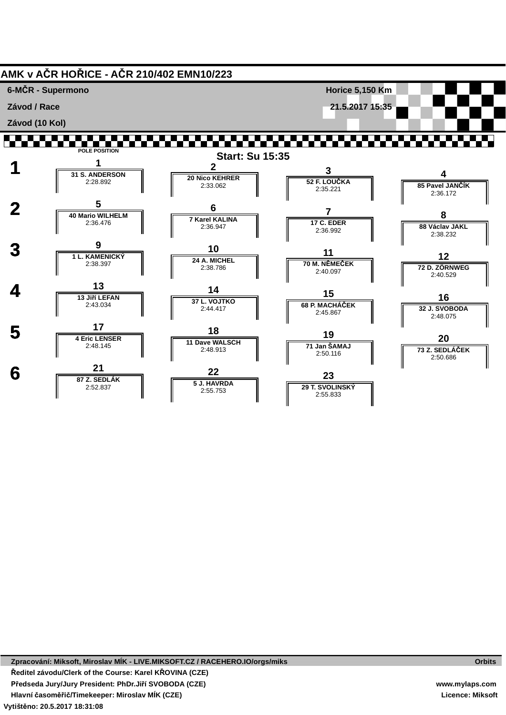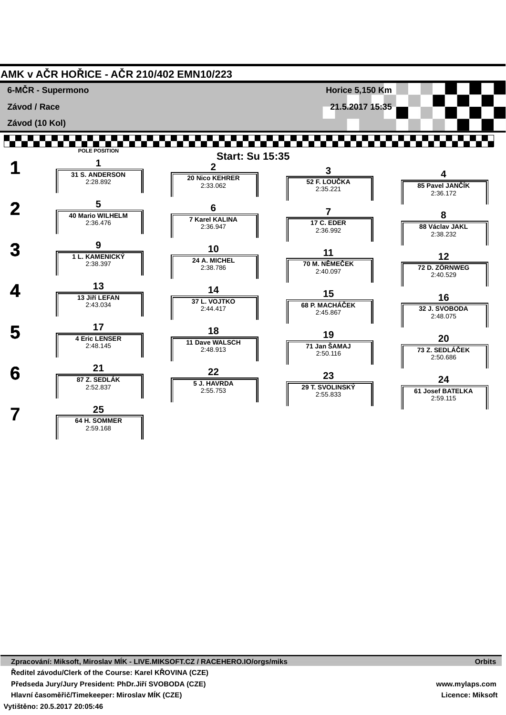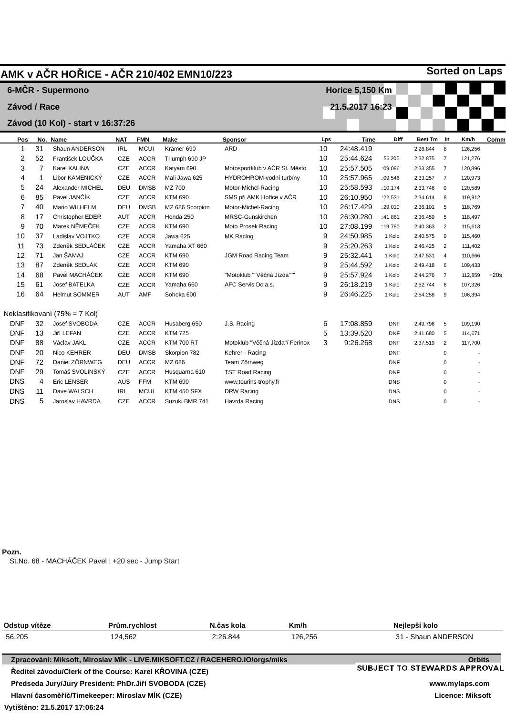|              |    | AMK v AČR HOŘICE - AČR 210/402 EMN10/223 |            |             |                   |                                 |     |                        |            |                |                | <b>Sorted on Laps</b> |        |
|--------------|----|------------------------------------------|------------|-------------|-------------------|---------------------------------|-----|------------------------|------------|----------------|----------------|-----------------------|--------|
|              |    | 6-MČR - Supermono                        |            |             |                   |                                 |     | <b>Horice 5,150 Km</b> |            |                |                |                       |        |
| Závod / Race |    |                                          |            |             |                   |                                 |     | 21.5.2017 16:23        |            |                |                |                       |        |
|              |    |                                          |            |             |                   |                                 |     |                        |            |                |                |                       |        |
|              |    | Závod (10 Kol) - start v 16:37:26        |            |             |                   |                                 |     |                        |            |                |                |                       |        |
| Pos          |    | No. Name                                 | <b>NAT</b> | <b>FMN</b>  | <b>Make</b>       | <b>Sponsor</b>                  | Lps | <b>Time</b>            | Diff       | <b>Best Tm</b> | In             | Km/h                  | Comm   |
| 1            | 31 | Shaun ANDERSON                           | <b>IRL</b> | <b>MCUI</b> | Krämer 690        | <b>ARD</b>                      | 10  | 24:48.419              |            | 2:26.844       | 8              | 126,256               |        |
| 2            | 52 | František LOUČKA                         | CZE        | <b>ACCR</b> | Triumph 690 JP    |                                 | 10  | 25:44.624              | 56.205     | 2:32.875       | $\overline{7}$ | 121,276               |        |
| 3            | 7  | Karel KALINA                             | CZE        | <b>ACCR</b> | Katyam 690        | Motosportklub v AČR St. Město   | 10  | 25:57.505              | :09.086    | 2:33.355       | $\overline{7}$ | 120,896               |        |
| 4            | -1 | Libor KAMENICKÝ                          | CZE        | <b>ACCR</b> | Mali Jawa 625     | HYDROHROM-vodní turbíny         | 10  | 25:57.965              | :09.546    | 2:33.257       | $\overline{7}$ | 120,973               |        |
| 5            | 24 | Alexander MICHEL                         | DEU        | <b>DMSB</b> | MZ 700            | Motor-Michel-Racing             | 10  | 25:58.593              | :10.174    | 2:33.746       | $\overline{0}$ | 120,589               |        |
| 6            | 85 | Pavel JANČÍK                             | CZE        | <b>ACCR</b> | <b>KTM 690</b>    | SMS při AMK Hořice v AČR        | 10  | 26:10.950              | :22.531    | 2:34.614       | 8              | 119,912               |        |
| 7            | 40 | Mario WILHELM                            | DEU        | <b>DMSB</b> | MZ 686 Scorpion   | Motor-Michel-Racing             | 10  | 26:17.429              | :29.010    | 2:36.101       | 5              | 118,769               |        |
| 8            | 17 | Christopher EDER                         | AUT        | <b>ACCR</b> | Honda 250         | MRSC-Gunskirchen                | 10  | 26:30.280              | :41.861    | 2:36.459       | 5              | 118,497               |        |
| 9            | 70 | Marek NĚMEČEK                            | CZE        | <b>ACCR</b> | <b>KTM 690</b>    | Moto Prosek Racing              | 10  | 27:08.199              | :: 19.780  | 2:40.363       | $\overline{2}$ | 115,613               |        |
| 10           | 37 | Ladislav VOJTKO                          | CZE        | <b>ACCR</b> | Jawa 625          | MK Racing                       | 9   | 24:50.985              | 1 Kolo     | 2:40.575       | 9              | 115,460               |        |
| 11           | 73 | Zdeněk SEDLÁČEK                          | CZE        | <b>ACCR</b> | Yamaha XT 660     |                                 | 9   | 25:20.263              | 1 Kolo     | 2:46.425       | $\overline{2}$ | 111,402               |        |
| 12           | 71 | Jan ŠAMAJ                                | CZE        | <b>ACCR</b> | <b>KTM 690</b>    | JGM Road Racing Team            | 9   | 25:32.441              | 1 Kolo     | 2:47.531       | $\overline{4}$ | 110,666               |        |
| 13           | 87 | Zdeněk SEDLÁK                            | CZE        | <b>ACCR</b> | <b>KTM 690</b>    |                                 | 9   | 25:44.592              | 1 Kolo     | 2:49.418       | 6              | 109,433               |        |
| 14           | 68 | Pavel MACHÁČEK                           | CZE        | <b>ACCR</b> | <b>KTM 690</b>    | "Motoklub ""Věčná Jízda"""      | 9   | 25:57.924              | 1 Kolo     | 2:44.276       | $\overline{7}$ | 112,859               | $+20s$ |
| 15           | 61 | <b>Josef BATELKA</b>                     | CZE        | <b>ACCR</b> | Yamaha 660        | AFC Servis Dc a.s.              | 9   | 26:18.219              | 1 Kolo     | 2:52.744       | 6              | 107,326               |        |
| 16           | 64 | <b>Helmut SOMMER</b>                     | <b>AUT</b> | <b>AMF</b>  | Sohoka 600        |                                 | 9   | 26:46.225              | 1 Kolo     | 2:54.258       | 9              | 106,394               |        |
|              |    | Neklasifikovaní (75% = 7 Kol)            |            |             |                   |                                 |     |                        |            |                |                |                       |        |
| <b>DNF</b>   | 32 | Josef SVOBODA                            | CZE        | <b>ACCR</b> | Husaberg 650      | J.S. Racing                     | 6   | 17:08.859              | <b>DNF</b> | 2:49.796       | 5              | 109,190               |        |
| <b>DNF</b>   | 13 | Jiří LEFAN                               | CZE        | <b>ACCR</b> | <b>KTM 725</b>    |                                 | 5   | 13:39.520              | <b>DNF</b> | 2:41.680       | 5              | 114,671               |        |
| <b>DNF</b>   | 88 | Václav JAKL                              | CZE        | <b>ACCR</b> | <b>KTM 700 RT</b> | Motoklub "Věčná Jízda"/ Ferinox | 3   | 9:26.268               | <b>DNF</b> | 2:37.519       | $\overline{2}$ | 117,700               |        |
| <b>DNF</b>   | 20 | Nico KEHRER                              | DEU        | <b>DMSB</b> | Skorpion 782      | Kehrer - Racing                 |     |                        | <b>DNF</b> |                | $\mathbf 0$    |                       |        |
| <b>DNF</b>   | 72 | Daniel ZÖRNWEG                           | DEU        | <b>ACCR</b> | MZ 686            | Team Zőrnweg                    |     |                        | <b>DNF</b> |                | $\Omega$       |                       |        |
| <b>DNF</b>   | 29 | Tomáš SVOLINSKÝ                          | CZE        | <b>ACCR</b> | Husquarna 610     | <b>TST Road Racing</b>          |     |                        | <b>DNF</b> |                | $\Omega$       |                       |        |
| <b>DNS</b>   | 4  | <b>Eric LENSER</b>                       | AUS        | <b>FFM</b>  | <b>KTM 690</b>    | www.tourins-trophy.fr           |     |                        | <b>DNS</b> |                | $\Omega$       |                       |        |
| <b>DNS</b>   | 11 | Dave WALSCH                              | <b>IRL</b> | <b>MCUI</b> | KTM 450 SFX       | DRW Racing                      |     |                        | <b>DNS</b> |                | $\Omega$       |                       |        |
| <b>DNS</b>   | 5  | Jaroslav HAVRDA                          | <b>CZE</b> | <b>ACCR</b> | Suzuki BMR 741    | Havrda Racing                   |     |                        | <b>DNS</b> |                | $\Omega$       |                       |        |

**Pozn.**

St.No. 68 - MACHÁČEK Pavel : +20 sec - Jump Start

| Odstup vítěze                 | Prům.rychlost                                                               | N.čas kola | Km/h    | Nejlepší kolo                |
|-------------------------------|-----------------------------------------------------------------------------|------------|---------|------------------------------|
| 56.205                        | 124.562                                                                     | 2:26.844   | 126.256 | 31 - Shaun ANDERSON          |
|                               | Zpracování: Miksoft, Miroslav MÍK - LIVE.MIKSOFT.CZ / RACEHERO.IO/orgs/miks |            |         | <b>Orbits</b>                |
|                               | Ředitel závodu/Clerk of the Course: Karel KŘOVINA (CZE)                     |            |         | SUBJECT TO STEWARDS APPROVAL |
|                               | Předseda Jury/Jury President: PhDr.Jiří SVOBODA (CZE)                       |            |         | www.mylaps.com               |
|                               | Hlavní časoměřič/Timekeeper: Miroslav MÍK (CZE)                             |            |         | Licence: Miksoft             |
| Vytištěno: 21.5.2017 17:06:24 |                                                                             |            |         |                              |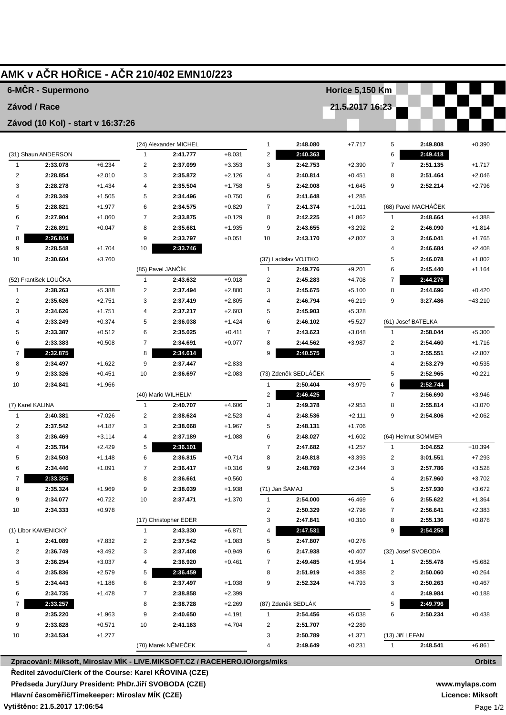|                                  |                                   |          |                | AMK v AČR HOŘICE - AČR 210/402 EMN10/223                                    |          |                         |                      |                      |                     |                      |                      |
|----------------------------------|-----------------------------------|----------|----------------|-----------------------------------------------------------------------------|----------|-------------------------|----------------------|----------------------|---------------------|----------------------|----------------------|
|                                  | 6-MČR - Supermono                 |          |                |                                                                             |          |                         |                      | Horice 5,150 Km      |                     |                      |                      |
| Závod / Race                     |                                   |          |                |                                                                             |          |                         |                      | 21.5.2017 16:23      |                     |                      |                      |
|                                  | Závod (10 Kol) - start v 16:37:26 |          |                |                                                                             |          |                         |                      |                      |                     |                      |                      |
|                                  |                                   |          |                |                                                                             |          |                         |                      |                      |                     |                      |                      |
|                                  |                                   |          |                | (24) Alexander MICHEL                                                       |          | $\mathbf{1}$            | 2:48.080             | $+7.717$             | 5                   | 2:49.808             | $+0.390$             |
|                                  | (31) Shaun ANDERSON               |          | 1              | 2:41.777                                                                    | $+8.031$ | $\overline{\mathbf{c}}$ | 2:40.363             |                      | 6                   | 2:49.418             |                      |
| $\mathbf{1}$                     | 2:33.078                          | $+6.234$ | $\overline{c}$ | 2:37.099                                                                    | $+3.353$ | 3                       | 2:42.753             | $+2.390$             | $\overline{7}$      | 2:51.135             | $+1.717$             |
| 2                                | 2:28.854                          | $+2.010$ | 3              | 2:35.872                                                                    | $+2.126$ | 4                       | 2:40.814             | $+0.451$             | 8                   | 2:51.464             | $+2.046$             |
| 3                                | 2:28.278                          | $+1.434$ | 4              | 2:35.504                                                                    | $+1.758$ | 5                       | 2:42.008             | $+1.645$             | 9                   | 2:52.214             | $+2.796$             |
| 4                                | 2:28.349                          | $+1.505$ | 5              | 2:34.496                                                                    | $+0.750$ | 6                       | 2:41.648             | $+1.285$             |                     |                      |                      |
| 5                                | 2:28.821                          | $+1.977$ | 6              | 2:34.575                                                                    | $+0.829$ | 7                       | 2:41.374             | $+1.011$             |                     | (68) Pavel MACHÁČEK  |                      |
| 6                                | 2:27.904                          | $+1.060$ | $\overline{7}$ | 2:33.875                                                                    | $+0.129$ | 8                       | 2:42.225             | $+1.862$             | 1                   | 2:48.664             | $+4.388$             |
| 7                                | 2:26.891                          | $+0.047$ | 8              | 2:35.681                                                                    | $+1.935$ | 9                       | 2:43.655             | $+3.292$             | 2                   | 2:46.090             | $+1.814$             |
| 8                                | 2:26.844                          |          | 9              | 2:33.797                                                                    | $+0.051$ | 10                      | 2:43.170             | $+2.807$             | 3                   | 2:46.041             | $+1.765$             |
| 9                                | 2:28.548                          | $+1.704$ | 10             | 2:33.746                                                                    |          |                         |                      |                      | 4                   | 2:46.684             | $+2.408$             |
| 10                               | 2:30.604                          | $+3.760$ |                |                                                                             |          |                         | (37) Ladislav VOJTKO |                      | 5                   | 2:46.078             | $+1.802$             |
|                                  |                                   |          |                | (85) Pavel JANČÍK                                                           |          | $\mathbf{1}$            | 2:49.776             | $+9.201$             | 6                   | 2:45.440             | $+1.164$             |
|                                  | (52) František LOUČKA             |          | 1              | 2:43.632                                                                    | $+9.018$ | $\overline{\mathbf{c}}$ | 2:45.283             | $+4.708$             | 7                   | 2:44.276             |                      |
| 1                                | 2:38.263                          | $+5.388$ | $\overline{c}$ | 2:37.494                                                                    | $+2.880$ | 3                       | 2:45.675             | $+5.100$             | 8                   | 2:44.696             | $+0.420$             |
| 2                                | 2:35.626                          | $+2.751$ | 3              | 2:37.419                                                                    | $+2.805$ | 4                       | 2:46.794             | $+6.219$             | 9                   | 3:27.486             | $+43.210$            |
| 3                                | 2:34.626                          | $+1.751$ | 4              | 2:37.217                                                                    | $+2.603$ | 5                       | 2:45.903             | $+5.328$             |                     |                      |                      |
| 4                                | 2:33.249                          | $+0.374$ | 5              | 2:36.038                                                                    | $+1.424$ | 6                       | 2:46.102             | $+5.527$             |                     | (61) Josef BATELKA   |                      |
| 5                                | 2:33.387                          | $+0.512$ | 6              | 2:35.025                                                                    | $+0.411$ | $\overline{7}$          | 2:43.623             | $+3.048$             | $\mathbf{1}$        | 2:58.044             | $+5.300$             |
| 6                                | 2:33.383                          | $+0.508$ | $\overline{7}$ | 2:34.691                                                                    | $+0.077$ | 8                       | 2:44.562             | $+3.987$             | 2                   | 2:54.460             | $+1.716$             |
| 7                                | 2:32.875                          |          | 8              | 2:34.614                                                                    |          | 9                       | 2:40.575             |                      | 3                   | 2:55.551             | $+2.807$             |
| 8                                | 2:34.497                          | $+1.622$ | 9              | 2:37.447                                                                    | $+2.833$ |                         |                      |                      | 4                   | 2:53.279             | $+0.535$             |
| 9                                | 2:33.326                          | $+0.451$ | 10             | 2:36.697                                                                    | $+2.083$ |                         | (73) Zdeněk SEDLÁČEK |                      | 5                   | 2:52.965             | $+0.221$             |
| 10                               | 2:34.841                          | $+1.966$ |                |                                                                             |          | $\mathbf{1}$            | 2:50.404<br>2:46.425 | $+3.979$             | 6<br>$\overline{7}$ | 2:52.744             |                      |
|                                  |                                   |          | 1              | (40) Mario WILHELM<br>2:40.707                                              | $+4.606$ | $\overline{\mathbf{c}}$ | 2:49.378             |                      |                     | 2:56.690             | $+3.946$             |
| (7) Karel KALINA<br>$\mathbf{1}$ | 2:40.381                          | $+7.026$ | $\overline{c}$ | 2:38.624                                                                    | $+2.523$ | 3<br>4                  | 2:48.536             | $+2.953$<br>$+2.111$ | 8<br>9              | 2:55.814<br>2:54.806 | $+3.070$<br>$+2.062$ |
| 2                                | 2:37.542                          | $+4.187$ | 3              | 2:38.068                                                                    | $+1.967$ | 5                       | 2:48.131             | $+1.706$             |                     |                      |                      |
| 3                                | 2:36.469                          | $+3.114$ | 4              | 2:37.189                                                                    | $+1.088$ | 6                       | 2:48.027             | $+1.602$             |                     | (64) Helmut SOMMER   |                      |
| 4                                | 2:35.784                          | $+2.429$ | 5              | 2:36.101                                                                    |          | 7                       | 2:47.682             | $+1.257$             | 1                   | 3:04.652             | $+10.394$            |
| 5                                | 2:34.503                          | $+1.148$ | 6              | 2:36.815                                                                    | $+0.714$ | 8                       | 2:49.818             | $+3.393$             | 2                   | 3:01.551             | $+7.293$             |
| 6                                | 2:34.446                          | $+1.091$ | 7              | 2:36.417                                                                    | $+0.316$ | 9                       | 2:48.769             | $+2.344$             | 3                   | 2:57.786             | $+3.528$             |
| 7                                | 2:33.355                          |          | 8              | 2:36.661                                                                    | $+0.560$ |                         |                      |                      | 4                   | 2:57.960             | $+3.702$             |
| 8                                | 2:35.324                          | $+1.969$ | 9              | 2:38.039                                                                    | +1.938   | (71) Jan ŠAMAJ          |                      |                      | 5                   | 2:57.930             | $+3.672$             |
| 9                                | 2:34.077                          | $+0.722$ | 10             | 2:37.471                                                                    | $+1.370$ | 1                       | 2:54.000             | $+6.469$             | 6                   | 2:55.622             | $+1.364$             |
| 10                               | 2:34.333                          | $+0.978$ |                |                                                                             |          | 2                       | 2:50.329             | $+2.798$             | 7                   | 2:56.641             | $+2.383$             |
|                                  |                                   |          |                | (17) Christopher EDER                                                       |          | 3                       | 2:47.841             | $+0.310$             | 8                   | 2:55.136             | $+0.878$             |
|                                  | (1) Libor KAMENICKÝ               |          | 1              | 2:43.330                                                                    | $+6.871$ | 4                       | 2:47.531             |                      | 9                   | 2:54.258             |                      |
| 1                                | 2:41.089                          | $+7.832$ | 2              | 2:37.542                                                                    | $+1.083$ | 5                       | 2:47.807             | $+0.276$             |                     |                      |                      |
| 2                                | 2:36.749                          | $+3.492$ | 3              | 2:37.408                                                                    | $+0.949$ | 6                       | 2:47.938             | $+0.407$             |                     | (32) Josef SVOBODA   |                      |
| 3                                | 2:36.294                          | $+3.037$ | 4              | 2:36.920                                                                    | $+0.461$ | 7                       | 2:49.485             | $+1.954$             | 1                   | 2:55.478             | $+5.682$             |
| 4                                | 2:35.836                          | $+2.579$ | 5              | 2:36.459                                                                    |          | 8                       | 2:51.919             | $+4.388$             | 2                   | 2:50.060             | $+0.264$             |
| 5                                | 2:34.443                          | $+1.186$ | 6              | 2:37.497                                                                    | $+1.038$ | 9                       | 2:52.324             | $+4.793$             | 3                   | 2:50.263             | $+0.467$             |
| 6                                | 2:34.735                          | $+1.478$ | 7              | 2:38.858                                                                    | $+2.399$ |                         |                      |                      | 4                   | 2:49.984             | $+0.188$             |
| 7                                | 2:33.257                          |          | 8              | 2:38.728                                                                    | $+2.269$ |                         | (87) Zdeněk SEDLÁK   |                      | 5                   | 2:49.796             |                      |
| 8                                | 2:35.220                          | $+1.963$ | 9              | 2:40.650                                                                    | $+4.191$ | $\mathbf{1}$            | 2:54.456             | $+5.038$             | 6                   | 2:50.234             | $+0.438$             |
| 9                                | 2:33.828                          | $+0.571$ | 10             | 2:41.163                                                                    | $+4.704$ | 2                       | 2:51.707             | $+2.289$             |                     |                      |                      |
| 10                               | 2:34.534                          | $+1.277$ |                |                                                                             |          | 3                       | 2:50.789             | $+1.371$             | (13) Jiří LEFAN     |                      |                      |
|                                  |                                   |          |                | (70) Marek NĚMEČEK                                                          |          | 4                       | 2:49.649             | $+0.231$             | $\mathbf{1}$        | 2:48.541             | $+6.861$             |
|                                  |                                   |          |                | Zpracování: Miksoft, Miroslav MÍK - LIVE.MIKSOFT.CZ / RACEHERO.IO/orgs/miks |          |                         |                      |                      |                     |                      | <b>Orbits</b>        |

**Zpracování: Miksoft, Miroslav MÍK - LIVE.MIKSOFT.CZ / RACEHERO.IO/orgs/miks Ředitel závodu/Clerk of the Course: Karel KŘOVINA (CZE) Předseda Jury/Jury President: PhDr.Jiří SVOBODA (CZE) Hlavní časoměřič/Timekeeper: Miroslav MÍK (CZE)**

**Vytištěno: 21.5.2017 17:06:54**